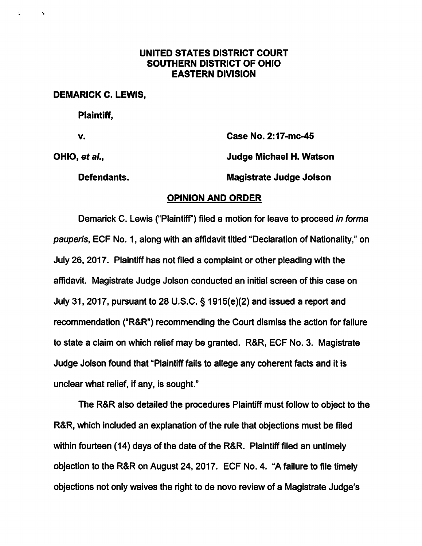## UNITED STATES DISTRICT COURT SOUTHERN DISTRICT OF OHIO EASTERN DIVISION

DEMARICK C. LEWIS,

Plaintiff,

 $\mathcal{A}_\bullet$ 

£.

V. Case No. 2:17-mc-45

OHIO, et al., **Judge Michael H. Watson** 

Defendants. Magistrate Judge Jolson

## OPINION AND ORDER

Demarick C. Lewis ("Plaintiff") filed a motion for leave to proceed in forma pauperis, EOF No. 1, along with an affidavit titled "Declaration of Nationality," on July 26, 2017. Plaintiff has not filed a complaint or other pleading with the affidavit. Magistrate Judge Jolson conducted an initial screen of this case on July 31, 2017, pursuant to 28 U.S.C. § 1915(e)(2) and issued a report and recommendation ("R&R") recommending the Court dismiss the action for failure to state a claim on which relief may be granted. R&R, EOF No. 3. Magistrate Judge Jolson found that "Plaintiff fails to allege any coherent facts and it is unclear what relief, if any, is sought."

The R&R also detailed the procedures Plaintiff must follow to object to the R&R, which included an explanation of the rule that objections must be filed within fourteen (14) days of the date of the R&R. Plaintiff filed an untimely objection to the R&R on August 24, 2017. EOF No. 4. "Afailure to file timely objections not only waives the right to de novo review of a Magistrate Judge's